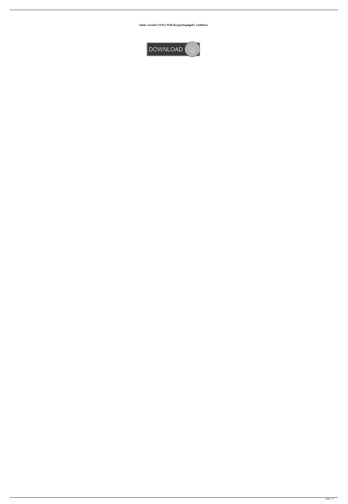**Adobe Acrobat 7.0 Pro With Keygen[SquiggiE] .rarbfdcm**

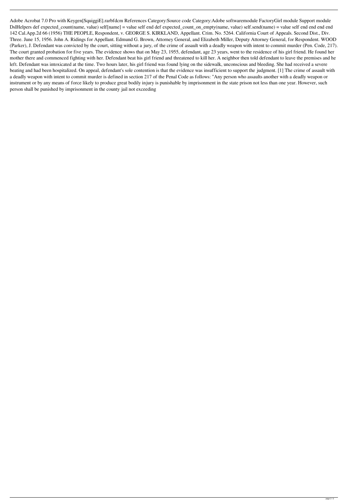Adobe Acrobat 7.0 Pro with Keygen[SquiggiE].rarbfdcm References Category:Source code Category:Adobe softwaremodule FactoryGirl module Support module DslHelpers def expected\_count(name, value) self[name] = value self end def expected\_count\_on\_empty(name, value) self.send(name) = value self end end end end 142 Cal.App.2d 66 (1956) THE PEOPLE, Respondent, v. GEORGE S. KIRKLAND, Appellant. Crim. No. 5264. California Court of Appeals. Second Dist., Div. Three. June 15, 1956. John A. Ridings for Appellant. Edmund G. Brown, Attorney General, and Elizabeth Miller, Deputy Attorney General, for Respondent. WOOD (Parker), J. Defendant was convicted by the court, sitting without a jury, of the crime of assault with a deadly weapon with intent to commit murder (Pen. Code, 217). The court granted probation for five years. The evidence shows that on May 23, 1955, defendant, age 23 years, went to the residence of his girl friend. He found her mother there and commenced fighting with her. Defendant beat his girl friend and threatened to kill her. A neighbor then told defendant to leave the premises and he left. Defendant was intoxicated at the time. Two hours later, his girl friend was found lying on the sidewalk, unconscious and bleeding. She had received a severe beating and had been hospitalized. On appeal, defendant's sole contention is that the evidence was insufficient to support the judgment. [1] The crime of assault with a deadly weapon with intent to commit murder is defined in section 217 of the Penal Code as follows: "Any person who assaults another with a deadly weapon or instrument or by any means of force likely to produce great bodily injury is punishable by imprisonment in the state prison not less than one year. However, such person shall be punished by imprisonment in the county jail not exceeding